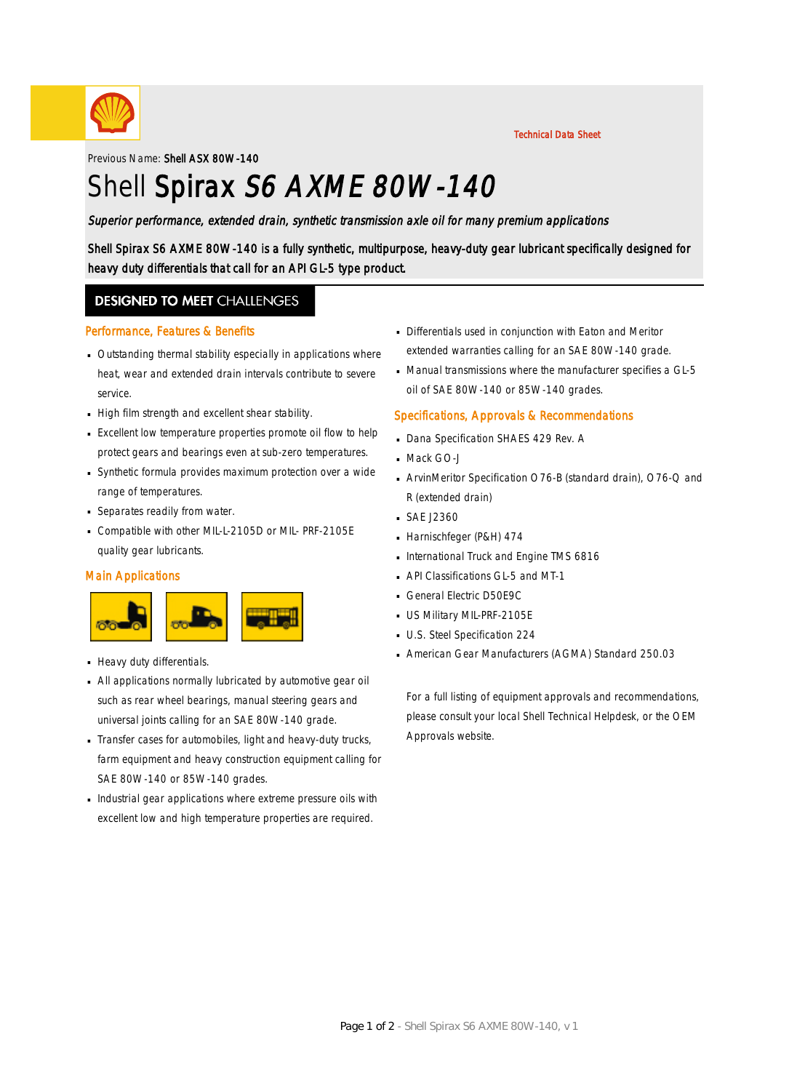

Previous Name: Shell ASX 80W-140

# Shell Spirax S6 AXME 80W-140

### Superior performance, extended drain, synthetic transmission axle oil for many premium applications

Shell Spirax S6 AXME 80W-140 is a fully synthetic, multipurpose, heavy-duty gear lubricant specifically designed for heavy duty differentials that call for an API GL-5 type product.

### **DESIGNED TO MEET CHALLENGES**

#### Performance, Features & Benefits

- Outstanding thermal stability especially in applications where · heat, wear and extended drain intervals contribute to severe service.
- High film strength and excellent shear stability.
- Excellent low temperature properties promote oil flow to help · protect gears and bearings even at sub-zero temperatures.
- Synthetic formula provides maximum protection over a wide · range of temperatures.
- Separates readily from water.
- Compatible with other MIL-L-2105D or MIL- PRF-2105E quality gear lubricants.

#### Main Applications



- **Heavy duty differentials.**
- All applications normally lubricated by automotive gear oil · such as rear wheel bearings, manual steering gears and universal joints calling for an SAE 80W-140 grade.
- Transfer cases for automobiles, light and heavy-duty trucks, · farm equipment and heavy construction equipment calling for SAE 80W-140 or 85W-140 grades.
- $\blacksquare$  Industrial gear applications where extreme pressure oils with excellent low and high temperature properties are required.
- Differentials used in conjunction with Eaton and Meritor · extended warranties calling for an SAE 80W-140 grade.
- Manual transmissions where the manufacturer specifies a GL-5 oil of SAE 80W-140 or 85W-140 grades.

Technical Data Sheet

#### Specifications, Approvals & Recommendations

- Dana Specification SHAES 429 Rev. A
- Mack GO-J
- ArvinMeritor Specification O76-B (standard drain), O76-Q and · R (extended drain)
- SAE J2360 ·
- Harnischfeger (P&H) 474
- **International Truck and Engine TMS 6816**
- API Classifications GL-5 and MT-1
- General Electric D50E9C
- **US Military MIL-PRF-2105E**
- **U.S. Steel Specification 224**
- American Gear Manufacturers (AGMA) Standard 250.03 ·

For a full listing of equipment approvals and recommendations, please consult your local Shell Technical Helpdesk, or the OEM Approvals website.